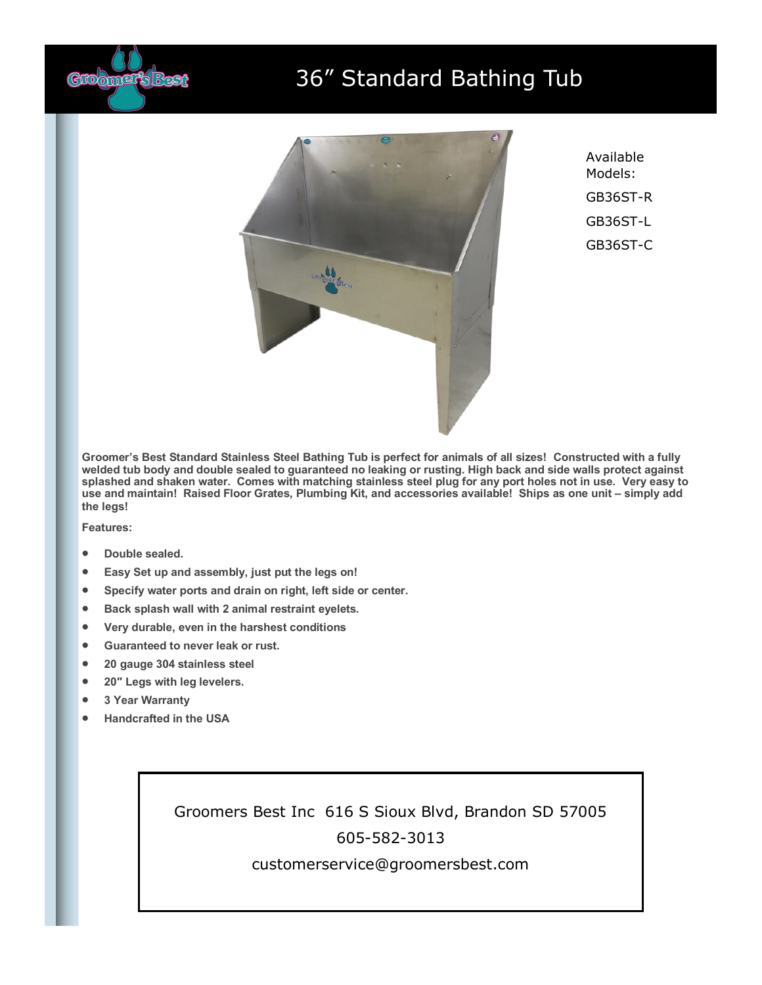

## 36" Standard Bathing Tub



Available Models: GB36ST-R GB36ST-L GB36ST-C

**Groomer's Best Standard Stainless Steel Bathing Tub is perfect for animals of all sizes! Constructed with a fully welded tub body and double sealed to guaranteed no leaking or rusting. High back and side walls protect against splashed and shaken water. Comes with matching stainless steel plug for any port holes not in use. Very easy to use and maintain! Raised Floor Grates, Plumbing Kit, and accessories available! Ships as one unit – simply add the legs!**

**Features:**

- **Double sealed.**
- **Easy Set up and assembly, just put the legs on!**
- **Specify water ports and drain on right, left side or center.**
- **Back splash wall with 2 animal restraint eyelets.**
- **Very durable, even in the harshest conditions**
- **Guaranteed to never leak or rust.**
- **20 gauge 304 stainless steel**
- **20″ Legs with leg levelers.**
- **3 Year Warranty**
- **Handcrafted in the USA**

Groomers Best Inc 616 S Sioux Blvd, Brandon SD 57005 605-582-3013

customerservice@groomersbest.com